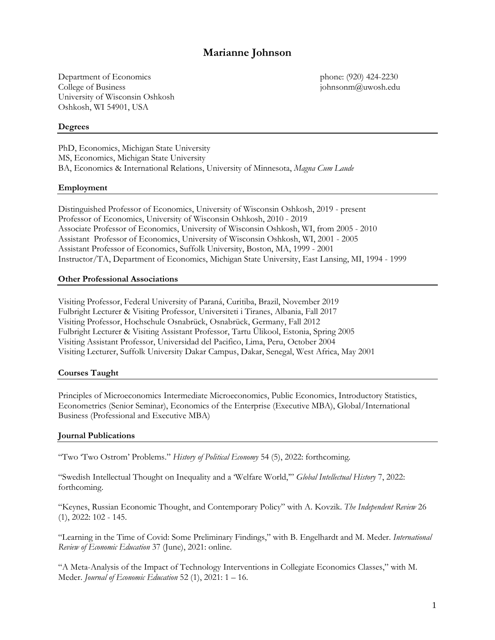# **Marianne Johnson**

Department of Economics phone: (920) 424-2230 College of Business johnsonm@uwosh.edu University of Wisconsin Oshkosh Oshkosh, WI 54901, USA

### **Degrees**

PhD, Economics, Michigan State University MS, Economics, Michigan State University BA, Economics & International Relations, University of Minnesota, *Magna Cum Laude*

### **Employment**

Distinguished Professor of Economics, University of Wisconsin Oshkosh, 2019 - present Professor of Economics, University of Wisconsin Oshkosh, 2010 - 2019 Associate Professor of Economics, [University of Wisconsin Oshkosh,](http://www.uwosh.edu/) WI, from 2005 - 2010 Assistant Professor of Economics, [University of Wisconsin Oshkosh,](http://www.uwosh.edu/) WI, 2001 - 2005 Assistant Professor of Economics, [Suffolk University,](http://www.suffolk.edu/) Boston, MA, 1999 - 2001 Instructor/TA, Department of Economics[, Michigan State University,](http://www.msu.edu/) East Lansing, MI, 1994 - 1999

### **Other Professional Associations**

Visiting Professor, Federal University of Paraná, Curitiba, Brazil, November 2019 Fulbright Lecturer & Visiting Professor, Universiteti i Tiranes, Albania, Fall 2017 Visiting Professor, Hochschule Osnabrück, Osnabrück, Germany, Fall 2012 Fulbright Lecturer & Visiting Assistant Professor[, Tartu](http://www.ut.ee/) Ülikool, Estonia, Spring 2005 Visiting Assistant Professor, [Universidad del Pacifico,](http://www.up.edu.pe/) Lima, Peru, October 2004 Visiting Lecturer[, Suffolk University Dakar Campus,](http://www.suffolk.edu/dakar/index.html) Dakar, Senegal, West Africa, May 2001

### **Courses Taught**

Principles of Microeconomics Intermediate Microeconomics, Public Economics, Introductory Statistics, Econometrics (Senior Seminar), Economics of the Enterprise (Executive MBA), Global/International Business (Professional and Executive MBA)

### **Journal Publications**

"Two 'Two Ostrom' Problems." *History of Political Economy* 54 (5), 2022: forthcoming.

"Swedish Intellectual Thought on Inequality and a 'Welfare World,'" *Global Intellectual History* 7, 2022: forthcoming.

"Keynes, Russian Economic Thought, and Contemporary Policy" with A. Kovzik. *The Independent Review* 26 (1), 2022: 102 - 145.

"Learning in the Time of Covid: Some Preliminary Findings," with B. Engelhardt and M. Meder. *International Review of Economic Education* 37 (June), 2021: online.

"A Meta-Analysis of the Impact of Technology Interventions in Collegiate Economics Classes," with M. Meder. *Journal of Economic Education* 52 (1), 2021: 1 – 16.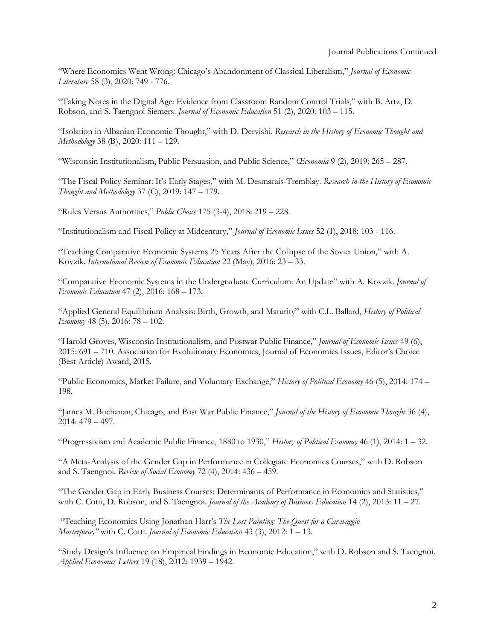"Where Economics Went Wrong: Chicago's Abandonment of Classical Liberalism," *Journal of Economic Literature* 58 (3), 2020: 749 - 776.

"Taking Notes in the Digital Age: Evidence from Classroom Random Control Trials," with B. Artz, D. Robson, and S. Taengnoi Siemers. *Journal of Economic Education* 51 (2), 2020: 103 – 115.

"Isolation in Albanian Economic Thought," with D. Dervishi. *Research in the History of Economic Thought and Methodology* 38 (B), 2020: 111 – 129.

"Wisconsin Institutionalism, Public Persuasion, and Public Science," *Œconomia* 9 (2), 2019: 265 – 287.

"The Fiscal Policy Seminar: It's Early Stages," with M. Desmarais-Tremblay. *Research in the History of Economic Thought and Methodology* 37 (C), 2019: 147 – 179.

"Rules Versus Authorities," *Public Choice* 175 (3-4), 2018: 219 – 228.

"Institutionalism and Fiscal Policy at Midcentury," *Journal of Economic Issues* 52 (1), 2018: 103 - 116.

"Teaching Comparative Economic Systems 25 Years After the Collapse of the Soviet Union," with A. Kovzik. *International Review of Economic Education* 22 (May), 2016: 23 – 33.

"Comparative Economic Systems in the Undergraduate Curriculum: An Update" with A. Kovzik. *Journal of Economic Education* 47 (2), 2016: 168 – 173.

"Applied General Equilibrium Analysis: Birth, Growth, and Maturity" with C.L. Ballard, *History of Political Economy* 48 (5), 2016: 78 – 102.

"Harold Groves, Wisconsin Institutionalism, and Postwar Public Finance," *Journal of Economic Issues* 49 (6), 2015: 691 – 710. Association for Evolutionary Economics, Journal of Economics Issues, Editor's Choice (Best Article) Award, 2015.

"Public Economics, Market Failure, and Voluntary Exchange," *History of Political Economy* 46 (5), 2014: 174 – 198.

"James M. Buchanan, Chicago, and Post War Public Finance," *Journal of the History of Economic Thought* 36 (4), 2014: 479 – 497.

"Progressivism and Academic Public Finance, 1880 to 1930," *History of Political Economy* 46 (1), 2014: 1 – 32.

"A Meta-Analysis of the Gender Gap in Performance in Collegiate Economics Courses," with D. Robson and S. Taengnoi. *Review of Social Economy* 72 (4), 2014: 436 – 459.

"The Gender Gap in Early Business Courses: Determinants of Performance in Economics and Statistics," with C. Cotti, D. Robson, and S. Taengnoi. *Journal of the Academy of Business Education* 14 (2), 2013: 11 – 27.

"Teaching Economics Using Jonathan Harr's *The Lost Painting: The Quest for a Caravaggio Masterpiece,"* with C. Cotti. *Journal of Economic Education* 43 (3), 2012: 1 – 13.

"Study Design's Influence on Empirical Findings in Economic Education," with D. Robson and S. Taengnoi. *Applied Economics Letters* 19 (18), 2012: 1939 – 1942.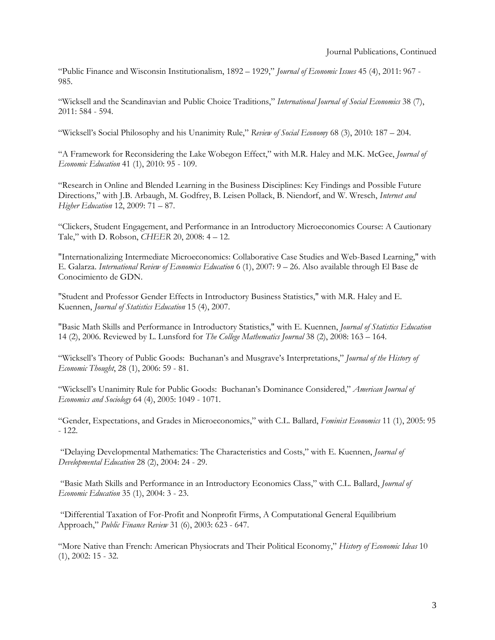"Public Finance and Wisconsin Institutionalism, 1892 – 1929," *Journal of Economic Issues* 45 (4), 2011: 967 - 985.

"Wicksell and the Scandinavian and Public Choice Traditions," *International Journal of Social Economics* 38 (7), 2011: 584 - 594.

"Wicksell's Social Philosophy and his Unanimity Rule," *Review of Social Economy* 68 (3), 2010: 187 – 204.

"A Framework for Reconsidering the Lake Wobegon Effect," with M.R. Haley and M.K. McGee, *Journal of Economic Education* 41 (1), 2010: 95 - 109.

"Research in Online and Blended Learning in the Business Disciplines: Key Findings and Possible Future Directions," with J.B. Arbaugh, M. Godfrey, B. Leisen Pollack, B. Niendorf, and W. Wresch, *Internet and Higher Education* 12, 2009: 71 – 87.

"Clickers, Student Engagement, and Performance in an Introductory Microeconomics Course: A Cautionary Tale," with D. Robson, *CHEER* 20, 2008: 4 – 12.

"Internationalizing Intermediate Microeconomics: Collaborative Case Studies and Web-Based Learning," with E. Galarza. *International Review of Economics Education* 6 (1), 2007: 9 – 26. Also available through El Base de Conocimiento de GDN.

"Student and Professor Gender Effects in Introductory Business Statistics," with M.R. Haley and E. Kuennen, *Journal of Statistics Education* 15 (4), 2007.

"Basic Math Skills and Performance in Introductory Statistics," with E. Kuennen, *Journal of Statistics Education*  14 (2), 2006. Reviewed by L. Lunsford for *The College Mathematics Journal* 38 (2), 2008: 163 – 164.

"Wicksell's Theory of Public Goods: Buchanan's and Musgrave's Interpretations," *Journal of the History of Economic Thought*, 28 (1), 2006: 59 - 81.

"Wicksell's Unanimity Rule for Public Goods: Buchanan's Dominance Considered," *American Journal of Economics and Sociology* 64 (4), 2005: 1049 - 1071.

"Gender, Expectations, and Grades in Microeconomics," with C.L. Ballard, *Feminist Economics* 11 (1), 2005: 95 - 122.

"Delaying Developmental Mathematics: The Characteristics and Costs," with E. Kuennen, *Journal of Developmental Education* 28 (2), 2004: 24 - 29.

"Basic Math Skills and Performance in an Introductory Economics Class," with C.L. Ballard, *Journal of Economic Education* 35 (1), 2004: 3 - 23.

"Differential Taxation of For-Profit and Nonprofit Firms, A Computational General Equilibrium Approach," *Public Finance Review* 31 (6), 2003: 623 - 647.

"More Native than French: American Physiocrats and Their Political Economy," *History of Economic Ideas* 10 (1), 2002: 15 - 32.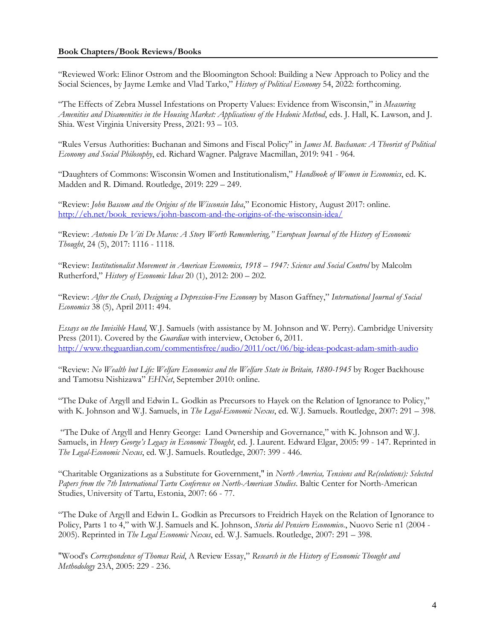### **Book Chapters/Book Reviews/Books**

"Reviewed Work: Elinor Ostrom and the Bloomington School: Building a New Approach to Policy and the Social Sciences, by Jayme Lemke and Vlad Tarko," *History of Political Economy* 54, 2022: forthcoming.

"The Effects of Zebra Mussel Infestations on Property Values: Evidence from Wisconsin," in *Measuring Amenities and Disamenities in the Housing Market: Applications of the Hedonic Method*, eds. J. Hall, K. Lawson, and J. Shia. West Virginia University Press, 2021: 93 – 103.

"Rules Versus Authorities: Buchanan and Simons and Fiscal Policy" in *James M. Buchanan: A Theorist of Political Economy and Social Philosophy*, ed. Richard Wagner. Palgrave Macmillan, 2019: 941 - 964.

"Daughters of Commons: Wisconsin Women and Institutionalism," *Handbook of Women in Economics*, ed. K. Madden and R. Dimand. Routledge, 2019: 229 – 249.

"Review: *John Bascom and the Origins of the Wisconsin Idea*," Economic History, August 2017: online. [http://eh.net/book\\_reviews/john-bascom-and-the-origins-of-the-wisconsin-idea/](http://eh.net/book_reviews/john-bascom-and-the-origins-of-the-wisconsin-idea/)

"Review: *Antonio De Viti De Marco: A Story Worth Remembering," European Journal of the History of Economic Thought*, 24 (5), 2017: 1116 - 1118.

"Review: *Institutionalist Movement in American Economics, 1918 – 1947: Science and Social Control* by Malcolm Rutherford," *History of Economic Ideas* 20 (1), 2012: 200 – 202.

"Review: *After the Crash, Designing a Depression-Free Economy* by Mason Gaffney," *International Journal of Social Economics* 38 (5), April 2011: 494.

*Essays on the Invisible Hand,* W.J. Samuels (with assistance by M. Johnson and W. Perry). Cambridge University Press (2011). Covered by the *Guardian* with interview, October 6, 2011. <http://www.theguardian.com/commentisfree/audio/2011/oct/06/big-ideas-podcast-adam-smith-audio>

"Review: *No Wealth but Life: Welfare Economics and the Welfare State in Britain, 1880-1945* by Roger Backhouse and Tamotsu Nishizawa" *EHNet*, September 2010: online.

"The Duke of Argyll and Edwin L. Godkin as Precursors to Hayek on the Relation of Ignorance to Policy," with K. Johnson and W.J. Samuels, in *The Legal-Economic Nexus*, ed. W.J. Samuels. Routledge, 2007: 291 – 398.

"The Duke of Argyll and Henry George: Land Ownership and Governance," with K. Johnson and W.J. Samuels, in *Henry George's Legacy in Economic Thought*, ed. J. Laurent. Edward Elgar, 2005: 99 - 147. Reprinted in *The Legal-Economic Nexus*, ed. W.J. Samuels. Routledge, 2007: 399 - 446.

"Charitable Organizations as a Substitute for Government," in *North America, Tensions and Re(solutions): Selected Papers from the 7th International Tartu Conference on North-American Studies*. Baltic Center for North-American Studies, University of Tartu, Estonia, 2007: 66 - 77.

"The Duke of Argyll and Edwin L. Godkin as Precursors to Freidrich Hayek on the Relation of Ignorance to Policy, Parts 1 to 4," with W.J. Samuels and K. Johnson, *Storia del Pensiero Economico*., Nuovo Serie n1 (2004 - 2005). Reprinted in *The Legal Economic Nexus*, ed. W.J. Samuels. Routledge, 2007: 291 – 398.

"Wood's *Correspondence of Thomas Reid*, A Review Essay," *[Research in the History of Economic Thought and](http://www.msu.edu/~emmettr/rhetm/)  [Methodology](http://www.msu.edu/~emmettr/rhetm/)* 23A, 2005: 229 - 236.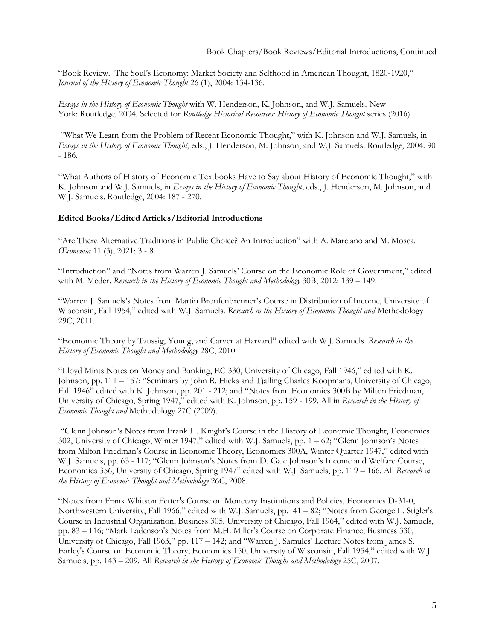"Book Review. The Soul's Economy: Market Society and Selfhood in American Thought, 1820-1920," *[Journal of the History of](http://www.tandf.co.uk/journals/titles/10427716.asp) Economic Thought* 26 (1), 2004: 134-136.

*Essays in the History of Economic Thought* with W. Henderson, K. Johnson, and W.J. Samuels. New York: Routledge, 2004. Selected for *Routledge Historical Resources: History of Economic Thought* series (2016).

"What We Learn from the Problem of Recent Economic Thought," with K. Johnson and W.J. Samuels, in *Essays in the History of Economic Thought*, eds., J. Henderson, M. Johnson, and W.J. Samuels. Routledge, 2004: 90 - 186.

"What Authors of History of Economic Textbooks Have to Say about History of Economic Thought," with K. Johnson and W.J. Samuels, in *Essays in the History of Economic Thought*, eds., J. Henderson, M. Johnson, and W.J. Samuels. Routledge, 2004: 187 - 270.

# **Edited Books/Edited Articles/Editorial Introductions**

"Are There Alternative Traditions in Public Choice? An Introduction" with A. Marciano and M. Mosca. *Œconomia* 11 (3), 2021: 3 - 8.

"Introduction" and "Notes from Warren J. Samuels' Course on the Economic Role of Government," edited with M. Meder. *Research in the History of Economic Thought and Methodology* 30B, 2012: 139 – 149.

"Warren J. Samuels's Notes from Martin Bronfenbrenner's Course in Distribution of Income, University of Wisconsin, Fall 1954," edited with W.J. Samuels. *Research in the History of Economic Thought and* Methodology 29C, 2011.

"Economic Theory by Taussig, Young, and Carver at Harvard" edited with W.J. Samuels. *Research in the History of Economic Thought and Methodology* 28C, 2010.

"Lloyd Mints Notes on Money and Banking, EC 330, University of Chicago, Fall 1946," edited with K. Johnson, pp. 111 – 157; "Seminars by John R. Hicks and Tjalling Charles Koopmans, University of Chicago, Fall 1946" edited with K. Johnson, pp. 201 - 212; and "Notes from Economics 300B by Milton Friedman, University of Chicago, Spring 1947," edited with K. Johnson, pp. 159 - 199. All in *Research in the History of Economic Thought and* Methodology 27C (2009).

"Glenn Johnson's Notes from Frank H. Knight's Course in the History of Economic Thought, Economics 302, University of Chicago, Winter 1947," edited with W.J. Samuels, pp. 1 – 62; "Glenn Johnson's Notes from Milton Friedman's Course in Economic Theory, Economics 300A, Winter Quarter 1947," edited with W.J. Samuels, pp. 63 - 117; "Glenn Johnson's Notes from D. Gale Johnson's Income and Welfare Course, Economics 356, University of Chicago, Spring 1947" edited with W.J. Samuels, pp. 119 – 166. All *Research in the History of Economic Thought and Methodology* 26C, 2008.

"Notes from Frank Whitson Fetter's Course on Monetary Institutions and Policies, Economics D-31-0, Northwestern University, Fall 1966," edited with W.J. Samuels, pp. 41 – 82; "Notes from George L. Stigler's Course in Industrial Organization, Business 305, University of Chicago, Fall 1964," edited with W.J. Samuels, pp. 83 – 116; "Mark Ladenson's Notes from M.H. Miller's Course on Corporate Finance, Business 330, University of Chicago, Fall 1963," pp. 117 – 142; and "Warren J. Samules' Lecture Notes from James S. Earley's Course on Economic Theory, Economics 150, University of Wisconsin, Fall 1954," edited with W.J. Samuels, pp. 143 – 209. All *Research in the History of Economic Thought and Methodology* 25C, 2007.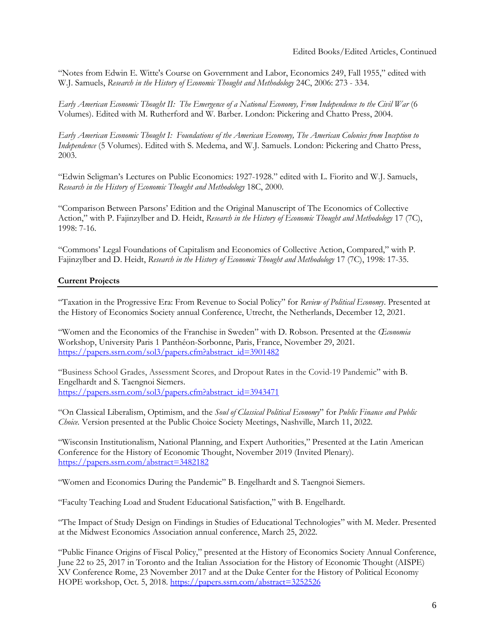"Notes from Edwin E. Witte's Course on Government and Labor, Economics 249, Fall 1955," edited with W.J. Samuels, *Research in the History of Economic Thought and Methodology* 24C, 2006: 273 - 334.

*[Early American Economic Thought II:](http://www.pickeringchatto.com/americaneconomy.htm) The Emergence of a National Economy, From Independence to the Civil War* (6 Volumes). Edited with M. Rutherford and W. Barber. London: Pickering and Chatto Press, 2004.

*[Early American Economic](http://www.pickeringchatto.com/americaneconomy.htm) Thought [I:](http://pickeringchatto.com/americaneconomy.htm) Foundations of the American Economy, The American Colonies from Inception to Independence* (5 Volumes). Edited with S. Medema, and W.J. Samuels. London: Pickering and Chatto Press, 2003.

"Edwin Seligman's Lectures on Public Economics: 1927-1928." edited with L. Fiorito and W.J. Samuels, *Research in the History of Economic Thought and Methodology* 18C, 2000.

"Comparison Between Parsons' Edition and the Original Manuscript of The Economics of Collective Action," with P. Fajinzylber and D. Heidt, *Research in the History of Economic Thought and Methodology* 17 (7C), 1998: 7-16.

"Commons' Legal Foundations of Capitalism and Economics of Collective Action, Compared," with P. Fajinzylber and D. Heidt, *Research in the History of Economic Thought and Methodology* 17 (7C), 1998: 17-35.

# **Current Projects**

"Taxation in the Progressive Era: From Revenue to Social Policy" for *Review of Political Economy*. Presented at the History of Economics Society annual Conference, Utrecht, the Netherlands, December 12, 2021.

"Women and the Economics of the Franchise in Sweden" with D. Robson. Presented at the *Œconomia*  Workshop, University Paris 1 Panthéon-Sorbonne, Paris, France, November 29, 2021. [https://papers.ssrn.com/sol3/papers.cfm?abstract\\_id=3901482](https://papers.ssrn.com/sol3/papers.cfm?abstract_id=3901482)

"Business School Grades, Assessment Scores, and Dropout Rates in the Covid-19 Pandemic" with B. Engelhardt and S. Taengnoi Siemers. [https://papers.ssrn.com/sol3/papers.cfm?abstract\\_id=3943471](https://papers.ssrn.com/sol3/papers.cfm?abstract_id=3943471)

"On Classical Liberalism, Optimism, and the *Soul of Classical Political Economy*" for *Public Finance and Public Choice.* Version presented at the Public Choice Society Meetings, Nashville, March 11, 2022.

"Wisconsin Institutionalism, National Planning, and Expert Authorities," Presented at the Latin American Conference for the History of Economic Thought, November 2019 (Invited Plenary). <https://papers.ssrn.com/abstract=3482182>

"Women and Economics During the Pandemic" B. Engelhardt and S. Taengnoi Siemers.

"Faculty Teaching Load and Student Educational Satisfaction," with B. Engelhardt.

"The Impact of Study Design on Findings in Studies of Educational Technologies" with M. Meder. Presented at the Midwest Economics Association annual conference, March 25, 2022.

"Public Finance Origins of Fiscal Policy," presented at the History of Economics Society Annual Conference, June 22 to 25, 2017 in Toronto and the Italian Association for the History of Economic Thought (AISPE) XV Conference Rome, 23 November 2017 and at the Duke Center for the History of Political Economy HOPE workshop, Oct. 5, 2018. <https://papers.ssrn.com/abstract=3252526>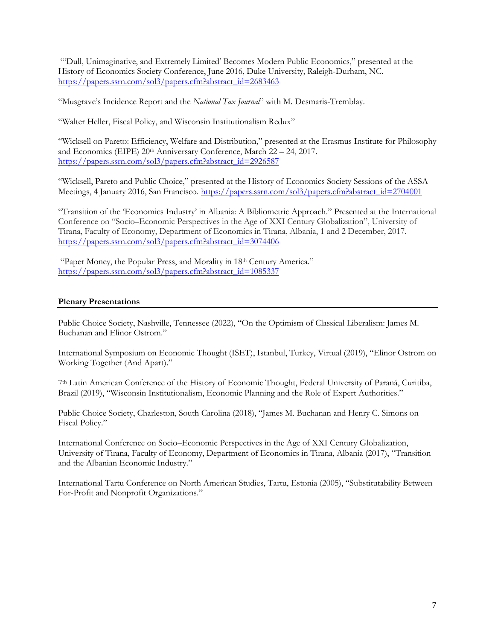"'Dull, Unimaginative, and Extremely Limited' Becomes Modern Public Economics," presented at the History of Economics Society Conference, June 2016, Duke University, Raleigh-Durham, NC. [https://papers.ssrn.com/sol3/papers.cfm?abstract\\_id=2683463](https://papers.ssrn.com/sol3/papers.cfm?abstract_id=2683463)

"Musgrave's Incidence Report and the *National Tax Journal*" with M. Desmaris-Tremblay.

"Walter Heller, Fiscal Policy, and Wisconsin Institutionalism Redux"

"Wicksell on Pareto: Efficiency, Welfare and Distribution," presented at the Erasmus Institute for Philosophy and Economics (EIPE) 20<sup>th</sup> Anniversary Conference, March 22 – 24, 2017. [https://papers.ssrn.com/sol3/papers.cfm?abstract\\_id=2926587](https://papers.ssrn.com/sol3/papers.cfm?abstract_id=2926587)

"Wicksell, Pareto and Public Choice," presented at the History of Economics Society Sessions of the ASSA Meetings, 4 January 2016, San Francisco. [https://papers.ssrn.com/sol3/papers.cfm?abstract\\_id=2704001](https://papers.ssrn.com/sol3/papers.cfm?abstract_id=2704001)

"Transition of the 'Economics Industry' in Albania: A Bibliometric Approach." Presented at the International Conference on "Socio–Economic Perspectives in the Age of XXI Century Globalization", University of Tirana, Faculty of Economy, Department of Economics in Tirana, Albania, 1 and 2 December, 2017. [https://papers.ssrn.com/sol3/papers.cfm?abstract\\_id=3074406](https://papers.ssrn.com/sol3/papers.cfm?abstract_id=3074406)

"Paper Money, the Popular Press, and Morality in 18th Century America." [https://papers.ssrn.com/sol3/papers.cfm?abstract\\_id=1085337](https://papers.ssrn.com/sol3/papers.cfm?abstract_id=1085337)

### **Plenary Presentations**

Public Choice Society, Nashville, Tennessee (2022), "On the Optimism of Classical Liberalism: James M. Buchanan and Elinor Ostrom."

International Symposium on Economic Thought (ISET), Istanbul, Turkey, Virtual (2019), "Elinor Ostrom on Working Together (And Apart)."

7th Latin American Conference of the History of Economic Thought, Federal University of Paraná, Curitiba, Brazil (2019), "Wisconsin Institutionalism, Economic Planning and the Role of Expert Authorities."

Public Choice Society, Charleston, South Carolina (2018), "James M. Buchanan and Henry C. Simons on Fiscal Policy."

International Conference on Socio–Economic Perspectives in the Age of XXI Century Globalization, University of Tirana, Faculty of Economy, Department of Economics in Tirana, Albania (2017), "Transition and the Albanian Economic Industry."

International Tartu Conference on North American Studies, Tartu, Estonia (2005), "Substitutability Between For-Profit and Nonprofit Organizations."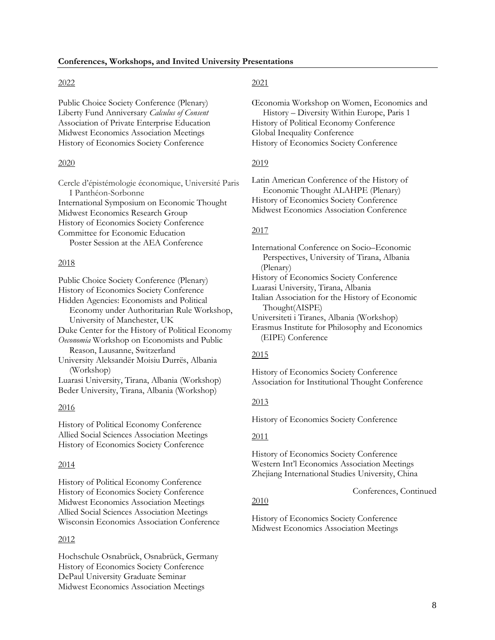### 2022

Public Choice Society Conference (Plenary) Liberty Fund Anniversary *Calculus of Consent* Association of Private Enterprise Education Midwest Economics Association Meetings History of Economics Society Conference

### 2020

Cercle d'épistémologie économique, Université Paris I Panthéon-Sorbonne International Symposium on Economic Thought Midwest Economics Research Group History of Economics Society Conference Committee for Economic Education Poster Session at the AEA Conference

### 2018

Public Choice Society Conference (Plenary) History of Economics Society Conference Hidden Agencies: Economists and Political Economy under Authoritarian Rule Workshop, University of Manchester, UK Duke Center for the History of Political Economy *Oeconomia* Workshop on Economists and Public Reason, Lausanne, Switzerland University Aleksandër Moisiu Durrës, Albania (Workshop) Luarasi University, Tirana, Albania (Workshop)

Beder University, Tirana, Albania (Workshop)

#### 2016

History of Political Economy Conference Allied Social Sciences Association Meetings History of Economics Society Conference

#### 2014

History of Political Economy Conference History of Economics Society Conference Midwest Economics Association Meetings Allied Social Sciences Association Meetings Wisconsin Economics Association Conference

### 2012

Hochschule Osnabrück, Osnabrück, Germany History of Economics Society Conference DePaul University Graduate Seminar Midwest Economics Association Meetings

### 2021

Œconomia Workshop on Women, Economics and History – Diversity Within Europe, Paris 1 History of Political Economy Conference Global Inequality Conference History of Economics Society Conference

### 2019

Latin American Conference of the History of Economic Thought ALAHPE (Plenary) History of Economics Society Conference Midwest Economics Association Conference

### 2017

International Conference on Socio–Economic Perspectives, University of Tirana, Albania (Plenary) History of Economics Society Conference

Luarasi University, Tirana, Albania

Italian Association for the History of Economic Thought(AISPE)

Universiteti i Tiranes, Albania (Workshop)

Erasmus Institute for Philosophy and Economics (EIPE) Conference

### 2015

History of Economics Society Conference Association for Institutional Thought Conference

### 2013

History of Economics Society Conference

#### 2011

History of Economics Society Conference Western Int'l Economics Association Meetings Zhejiang International Studies University, China

### Conferences, Continued

# 2010

History of Economics Society Conference Midwest Economics Association Meetings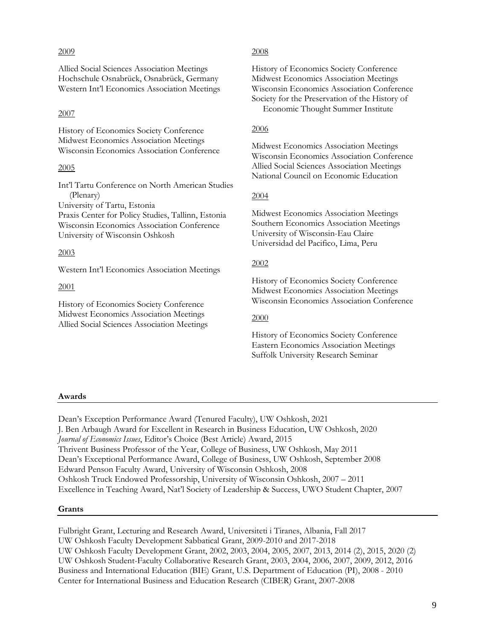### 2009

Allied Social Sciences Association Meetings Hochschule Osnabrück, Osnabrück, Germany Western Int'l Economics Association Meetings

# 2007

History of Economics Society Conference Midwest Economics Association Meetings Wisconsin Economics Association Conference

# 2005

Int'l Tartu Conference on North American Studies (Plenary) University of Tartu, Estonia Praxis Center for Policy Studies, Tallinn, Estonia Wisconsin Economics Association Conference

University of Wisconsin Oshkosh

### 2003

Western Int'l Economics Association Meetings

2001

History of Economics Society Conference Midwest Economics Association Meetings Allied Social Sciences Association Meetings

### 2008

History of Economics Society Conference Midwest Economics Association Meetings Wisconsin Economics Association Conference Society for the Preservation of the History of Economic Thought Summer Institute

### 2006

Midwest Economics Association Meetings Wisconsin Economics Association Conference Allied Social Sciences Association Meetings National Council on Economic Education

### 2004

Midwest Economics Association Meetings Southern Economics Association Meetings University of Wisconsin-Eau Claire Universidad del Pacifico, Lima, Peru

### 2002

History of Economics Society Conference Midwest Economics Association Meetings Wisconsin Economics Association Conference

### 2000

History of Economics Society Conference Eastern Economics Association Meetings Suffolk University Research Seminar

### **Awards**

Dean's Exception Performance Award (Tenured Faculty), UW Oshkosh, 2021 J. Ben Arbaugh Award for Excellent in Research in Business Education, UW Oshkosh, 2020 *Journal of Economics Issues*, Editor's Choice (Best Article) Award, 2015 Thrivent Business Professor of the Year, College of Business, UW Oshkosh, May 2011 Dean's Exceptional Performance Award, College of Business, UW Oshkosh, September 2008 Edward Penson Faculty Award, University of Wisconsin Oshkosh, 2008 Oshkosh Truck Endowed Professorship, University of Wisconsin Oshkosh, 2007 – 2011 Excellence in Teaching Award, Nat'l Society of Leadership & Success, UWO Student Chapter, 2007

# **Grants**

Fulbright Grant, Lecturing and Research Award, Universiteti i Tiranes, Albania, Fall 2017 UW Oshkosh Faculty Development Sabbatical Grant, 2009-2010 and 2017-2018 UW Oshkosh Faculty Development Grant, 2002, 2003, 2004, 2005, 2007, 2013, 2014 (2), 2015, 2020 (2) UW Oshkosh Student-Faculty Collaborative Research Grant, 2003, 2004, 2006, 2007, 2009, 2012, 2016 Business and International Education (BIE) Grant, U.S. Department of Education (PI), 2008 - 2010 Center for International Business and Education Research (CIBER) Grant, 2007-2008